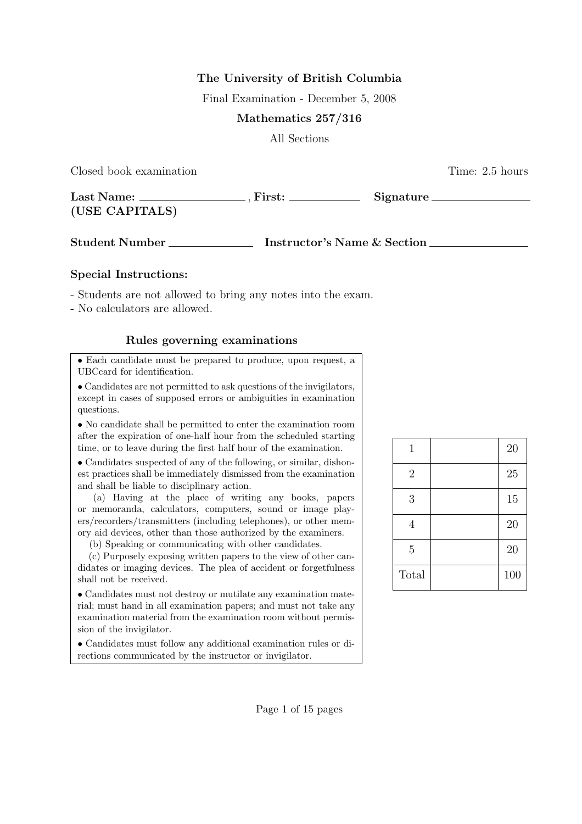# The University of British Columbia

Final Examination - December 5, 2008

### Mathematics 257/316

All Sections

Closed book examination **Time:** 2.5 hours

| Last Name:     | First: | Signature |
|----------------|--------|-----------|
| (USE CAPITALS) |        |           |

Student Number Instructor's Name & Section

#### Special Instructions:

- Students are not allowed to bring any notes into the exam.

- No calculators are allowed.

### Rules governing examinations

• Each candidate must be prepared to produce, upon request, a UBCcard for identification.

• Candidates are not permitted to ask questions of the invigilators, except in cases of supposed errors or ambiguities in examination questions.

• No candidate shall be permitted to enter the examination room after the expiration of one-half hour from the scheduled starting time, or to leave during the first half hour of the examination.

• Candidates suspected of any of the following, or similar, dishonest practices shall be immediately dismissed from the examination and shall be liable to disciplinary action.

(a) Having at the place of writing any books, papers or memoranda, calculators, computers, sound or image players/recorders/transmitters (including telephones), or other memory aid devices, other than those authorized by the examiners.

(b) Speaking or communicating with other candidates.

(c) Purposely exposing written papers to the view of other candidates or imaging devices. The plea of accident or forgetfulness shall not be received.

• Candidates must not destroy or mutilate any examination material; must hand in all examination papers; and must not take any examination material from the examination room without permission of the invigilator.

• Candidates must follow any additional examination rules or directions communicated by the instructor or invigilator.

| $\mathbf{1}$   | 20  |
|----------------|-----|
| $\mathbf{2}$   | 25  |
| 3              | 15  |
| 4              | 20  |
| $\overline{5}$ | 20  |
| Total          | 100 |

Page 1 of 15 pages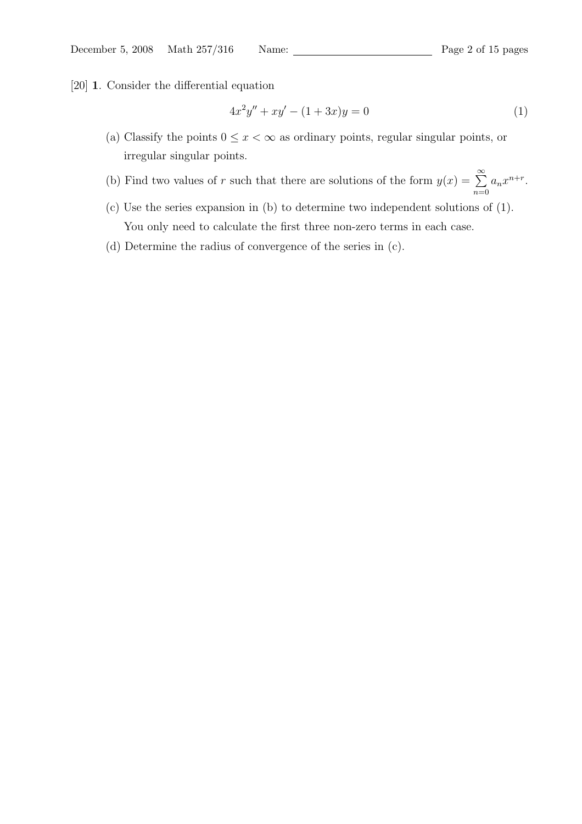$n=0$ 

[20] 1. Consider the differential equation

$$
4x^2y'' + xy' - (1+3x)y = 0
$$
\n(1)

- (a) Classify the points  $0 \leq x < \infty$  as ordinary points, regular singular points, or irregular singular points.
- (b) Find two values of r such that there are solutions of the form  $y(x) = \sum_{n=0}^{\infty}$  $a_n x^{n+r}$ .
- (c) Use the series expansion in (b) to determine two independent solutions of (1). You only need to calculate the first three non-zero terms in each case.
- (d) Determine the radius of convergence of the series in (c).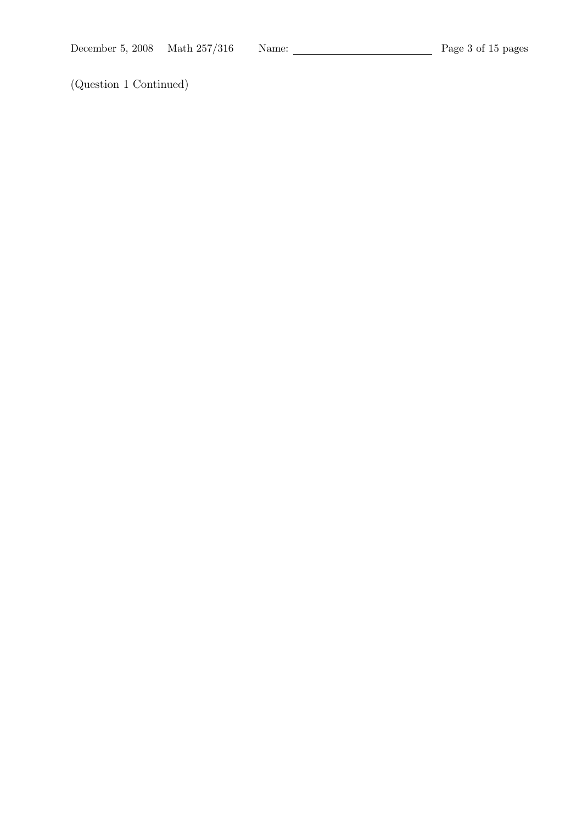(Question 1 Continued)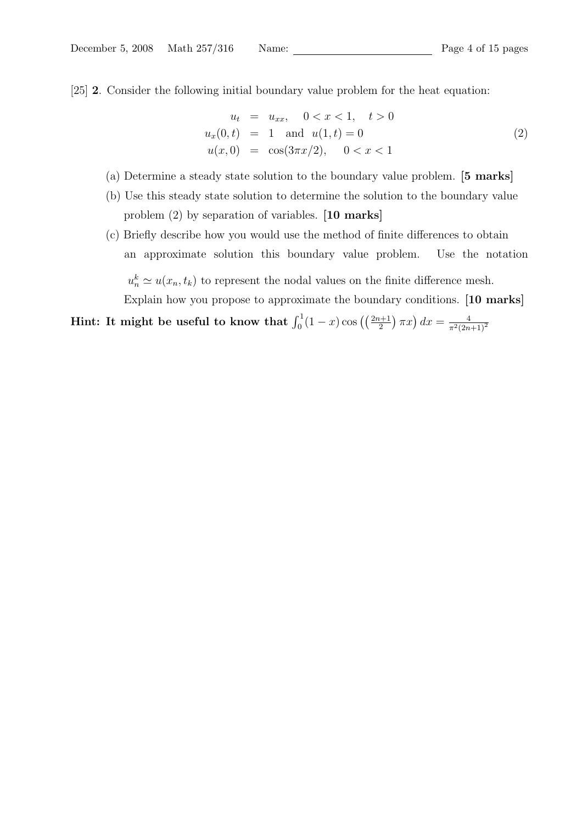[25] 2. Consider the following initial boundary value problem for the heat equation:

$$
u_t = u_{xx}, \quad 0 < x < 1, \quad t > 0
$$
  
\n
$$
u_x(0, t) = 1 \quad \text{and} \quad u(1, t) = 0
$$
  
\n
$$
u(x, 0) = \cos(3\pi x/2), \quad 0 < x < 1
$$
\n(2)

- (a) Determine a steady state solution to the boundary value problem. [5 marks]
- (b) Use this steady state solution to determine the solution to the boundary value problem (2) by separation of variables. [10 marks]
- (c) Briefly describe how you would use the method of finite differences to obtain an approximate solution this boundary value problem. Use the notation

 $u_n^k \simeq u(x_n, t_k)$  to represent the nodal values on the finite difference mesh. Explain how you propose to approximate the boundary conditions. [10 marks]

# Hint: It might be useful to know that  $\int_0^1 (1-x) \cos \left( \left( \frac{2n+1}{2} \right) \right)$  $(\pi x) dx = \frac{4}{\pi^2 (2n+1)^2}$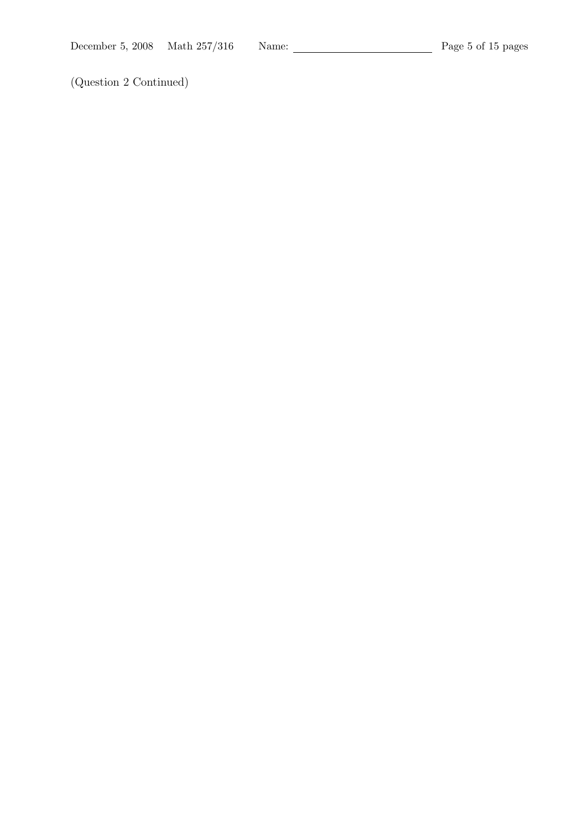(Question 2 Continued)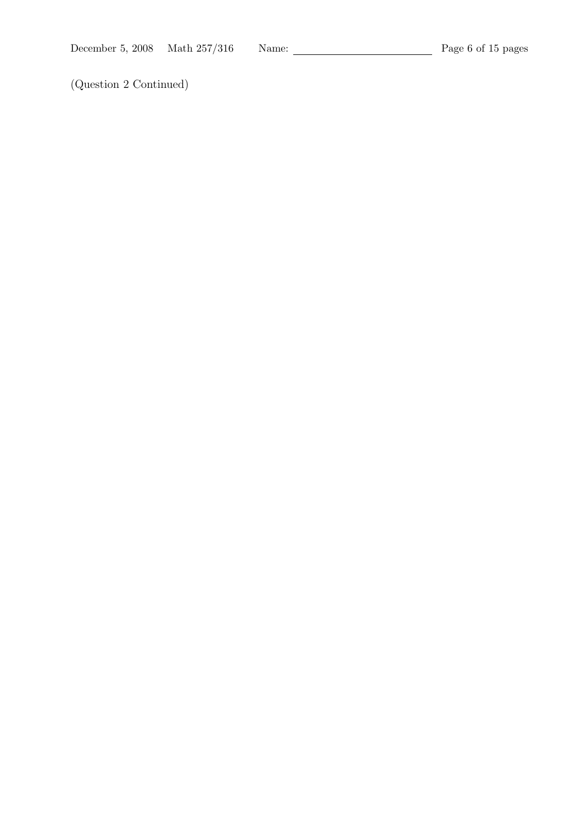(Question 2 Continued)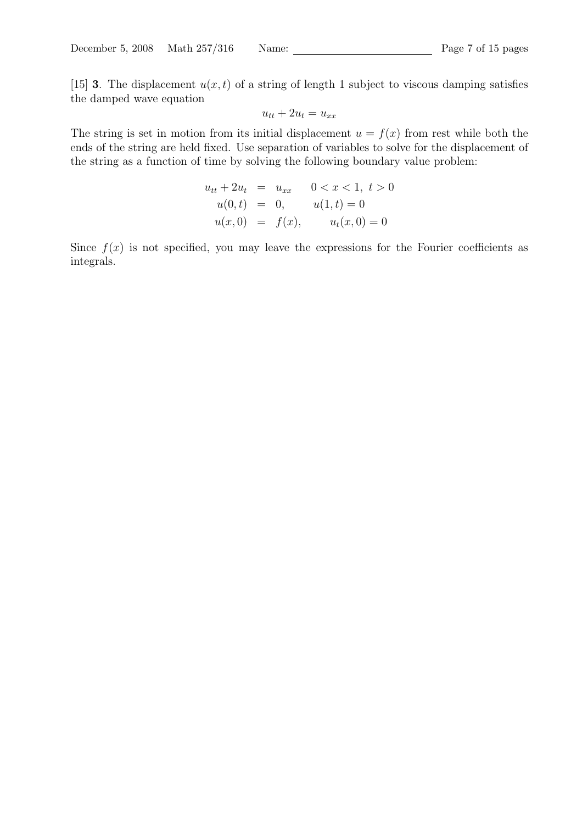[15] **3**. The displacement  $u(x, t)$  of a string of length 1 subject to viscous damping satisfies the damped wave equation

$$
u_{tt} + 2u_t = u_{xx}
$$

The string is set in motion from its initial displacement  $u = f(x)$  from rest while both the ends of the string are held fixed. Use separation of variables to solve for the displacement of the string as a function of time by solving the following boundary value problem:

$$
u_{tt} + 2u_t = u_{xx} \t 0 < x < 1, t > 0
$$
  
\n
$$
u(0, t) = 0, \t u(1, t) = 0
$$
  
\n
$$
u(x, 0) = f(x), \t u_t(x, 0) = 0
$$

Since  $f(x)$  is not specified, you may leave the expressions for the Fourier coefficients as integrals.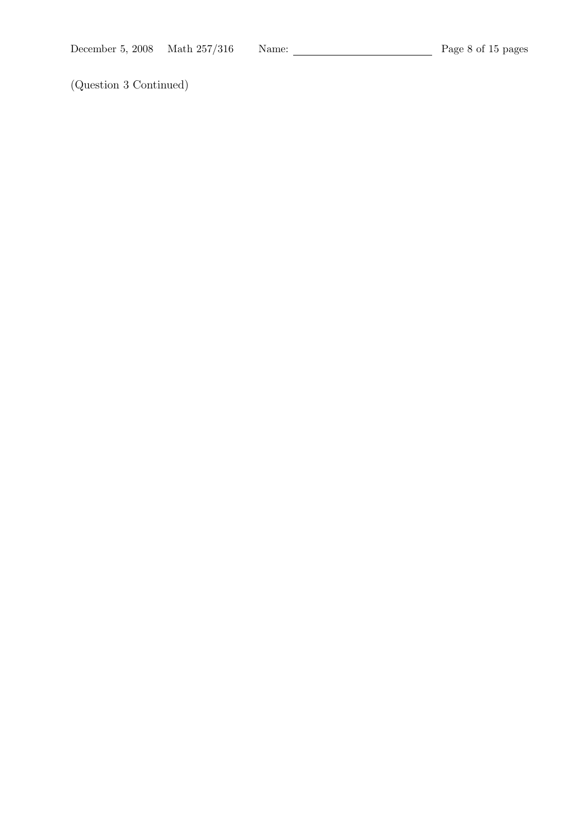(Question 3 Continued)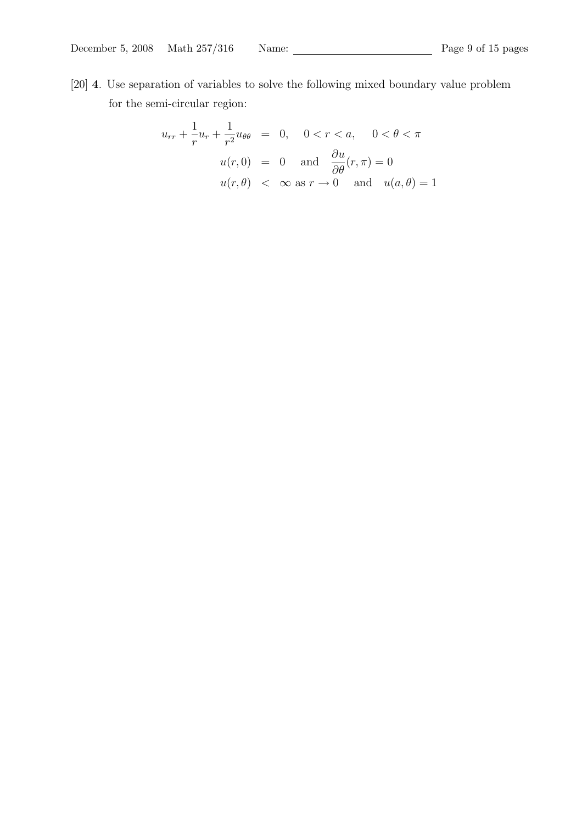[20] 4. Use separation of variables to solve the following mixed boundary value problem for the semi-circular region:

$$
u_{rr} + \frac{1}{r}u_r + \frac{1}{r^2}u_{\theta\theta} = 0, \quad 0 < r < a, \quad 0 < \theta < \pi
$$
  

$$
u(r, 0) = 0 \quad \text{and} \quad \frac{\partial u}{\partial \theta}(r, \pi) = 0
$$
  

$$
u(r, \theta) < \infty \text{ as } r \to 0 \quad \text{and} \quad u(a, \theta) = 1
$$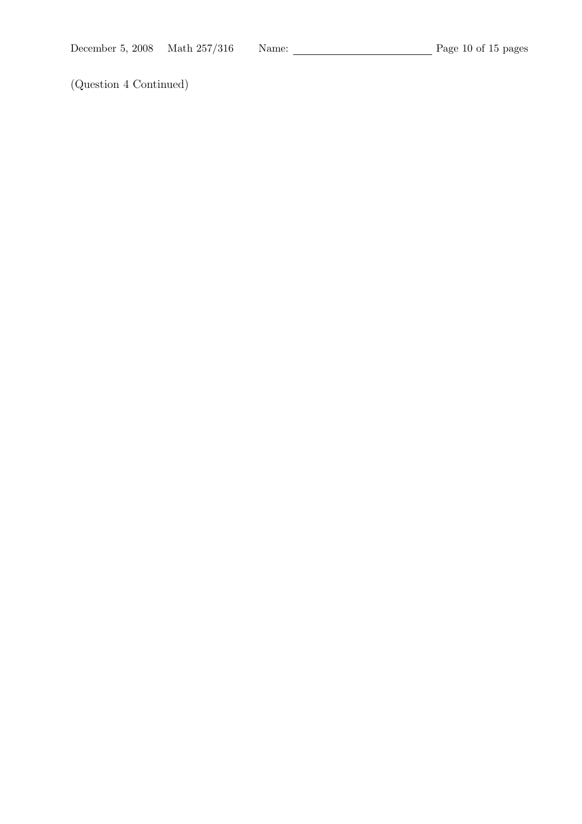(Question 4 Continued)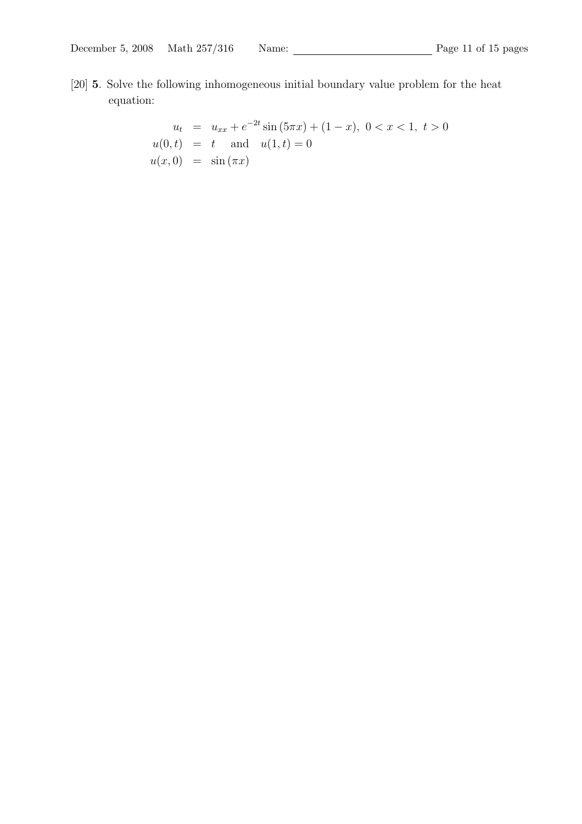[20] 5. Solve the following inhomogeneous initial boundary value problem for the heat equation:

$$
u_t = u_{xx} + e^{-2t} \sin(5\pi x) + (1 - x), \ 0 < x < 1, \ t > 0
$$
\n
$$
u(0, t) = t \quad \text{and} \quad u(1, t) = 0
$$
\n
$$
u(x, 0) = \sin(\pi x)
$$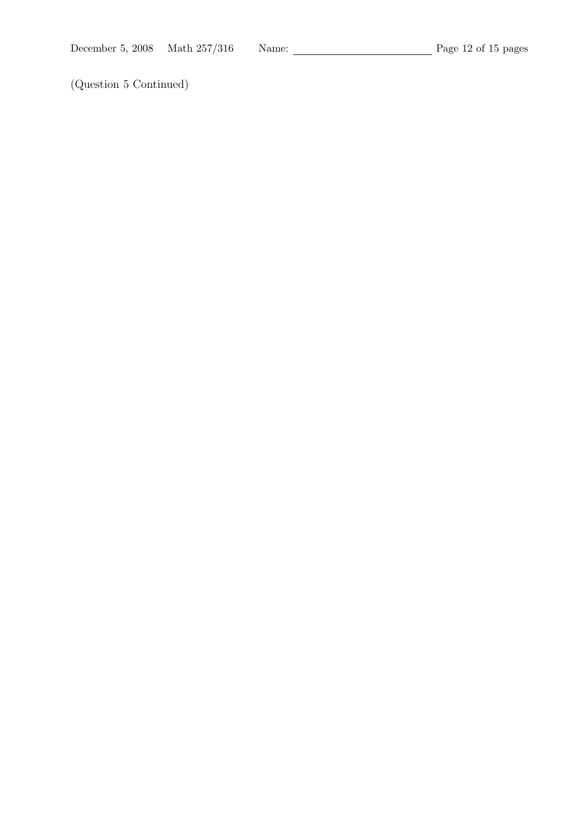(Question 5 Continued)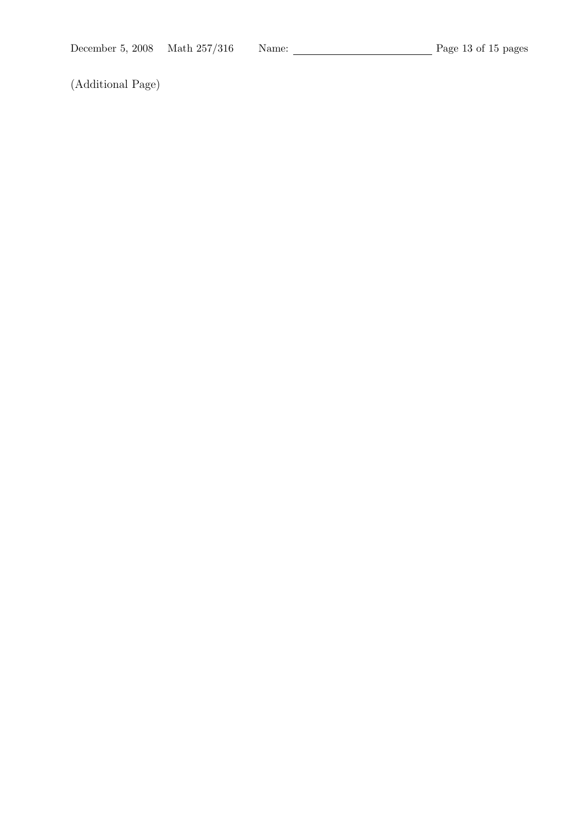(Additional Page)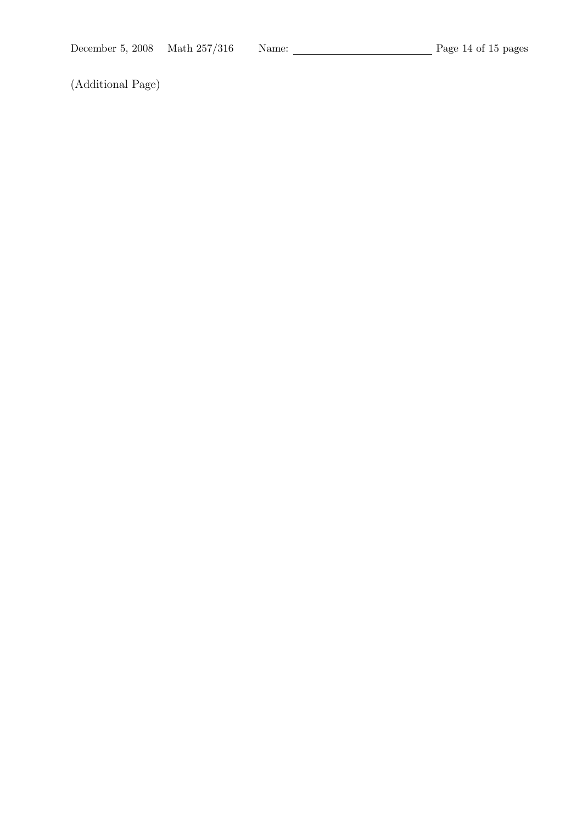(Additional Page)